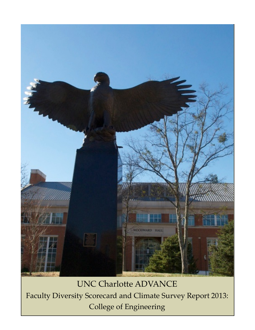

UNC Charlotte ADVANCE Faculty Diversity Scorecard and Climate Survey Report 2013: College of Engineering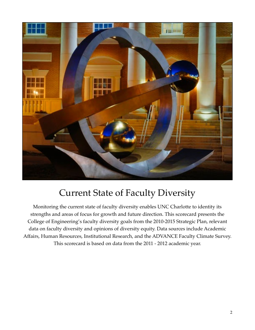

#### Current State of Faculty Diversity

Monitoring the current state of faculty diversity enables UNC Charlotte to identity its strengths and areas of focus for growth and future direction. This scorecard presents the College of Engineering's faculty diversity goals from the 2010-2015 Strategic Plan, relevant data on faculty diversity and opinions of diversity equity. Data sources include Academic Affairs, Human Resources, Institutional Research, and the ADVANCE Faculty Climate Survey. This scorecard is based on data from the 2011 - 2012 academic year.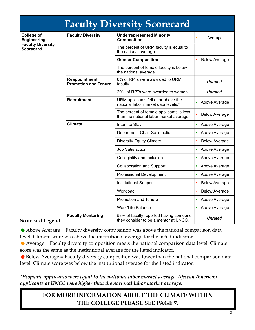| <b>Faculty Diversity Scorecard</b>                                                      |                                               |                                                                                     |                      |  |  |  |
|-----------------------------------------------------------------------------------------|-----------------------------------------------|-------------------------------------------------------------------------------------|----------------------|--|--|--|
| <b>College of</b><br><b>Engineering</b><br><b>Faculty Diversity</b><br><b>Scorecard</b> | <b>Faculty Diversity</b>                      | <b>Underrepresented Minority</b><br><b>Composition</b>                              | Average              |  |  |  |
|                                                                                         |                                               | The percent of URM faculty is equal to<br>the national average.                     |                      |  |  |  |
|                                                                                         |                                               | <b>Gender Composition</b>                                                           | <b>Below Average</b> |  |  |  |
|                                                                                         |                                               | The percent of female faculty is below<br>the national average.                     |                      |  |  |  |
|                                                                                         | Reappointment,<br><b>Promotion and Tenure</b> | 0% of RPTs were awarded to URM<br>faculty.                                          | Unrated              |  |  |  |
|                                                                                         |                                               | 20% of RPTs were awarded to women.                                                  | Unrated              |  |  |  |
|                                                                                         | <b>Recruitment</b>                            | URM applicants fell at or above the<br>national labor market data levels.*          | Above Average        |  |  |  |
|                                                                                         |                                               | The percent of female applicants is less<br>than the national labor market average. | <b>Below Average</b> |  |  |  |
|                                                                                         | <b>Climate</b>                                | Intent to Stay                                                                      | Above Average<br>۰   |  |  |  |
|                                                                                         |                                               | Department Chair Satisfaction                                                       | Above Average        |  |  |  |
|                                                                                         |                                               | <b>Diversity Equity Climate</b>                                                     | <b>Below Average</b> |  |  |  |
|                                                                                         |                                               | <b>Job Satisfaction</b>                                                             | Above Average        |  |  |  |
|                                                                                         |                                               | Collegiality and Inclusion                                                          | Above Average        |  |  |  |
|                                                                                         |                                               | <b>Collaboration and Support</b>                                                    | Above Average        |  |  |  |
|                                                                                         |                                               | <b>Professional Development</b>                                                     | Above Average        |  |  |  |
|                                                                                         |                                               | <b>Institutional Support</b>                                                        | <b>Below Average</b> |  |  |  |
|                                                                                         |                                               | Workload                                                                            | <b>Below Average</b> |  |  |  |
|                                                                                         |                                               | Promotion and Tenure                                                                | Above Average        |  |  |  |
|                                                                                         |                                               | <b>Work/Life Balance</b>                                                            | Above Average        |  |  |  |
| <b>Scorecard Legend</b>                                                                 | <b>Faculty Mentoring</b>                      | 53% of faculty reported having someone<br>they consider to be a mentor at UNCC.     | Unrated              |  |  |  |

#### **Scorecard Legend**

 $\bullet$  Above Average = Faculty diversity composition was above the national comparison data level. Climate score was above the institutional average for the listed indicator.

•Average = Faculty diversity composition meets the national comparison data level. Climate score was the same as the institutional average for the listed indicator.

 $\bullet$  Below Average = Faculty diversity composition was lower than the national comparison data level. Climate score was below the institutional average for the listed indicator.

*\*Hispanic applicants were equal to the national labor market average. African American applicants at UNCC were higher than the national labor market average.*

#### **FOR MORE INFORMATION ABOUT THE CLIMATE WITHIN THE COLLEGE PLEASE SEE PAGE 7.**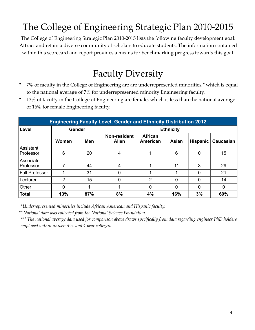# The College of Engineering Strategic Plan 2010-2015

The College of Engineering Strategic Plan 2010-2015 lists the following faculty development goal: Attract and retain a diverse community of scholars to educate students. The information contained within this scorecard and report provides a means for benchmarking progress towards this goal.

#### Faculty Diversity

- 7% of faculty in the College of Engineering are are underrepresented minorities,\* which is equal to the national average of 7% for underrepresented minority Engineering faculty.
- 13% of faculty in the College of Engineering are female, which is less than the national average of 16% for female Engineering faculty.

| <b>Engineering Faculty Level, Gender and Ethnicity Distribution 2012</b> |       |        |                              |                            |          |                 |           |  |
|--------------------------------------------------------------------------|-------|--------|------------------------------|----------------------------|----------|-----------------|-----------|--|
| Level                                                                    |       | Gender | <b>Ethnicity</b>             |                            |          |                 |           |  |
|                                                                          | Women | Men    | Non-resident<br><b>Alien</b> | <b>African</b><br>American | Asian    | <b>Hispanic</b> | Caucasian |  |
| Assistant<br>Professor                                                   | 6     | 20     | $\overline{4}$               |                            | 6        | 0               | 15        |  |
| Associate<br>Professor                                                   |       | 44     | 4                            |                            | 11       | 3               | 29        |  |
| Full Professor                                                           |       | 31     | 0                            |                            |          | 0               | 21        |  |
| Lecturer                                                                 | 2     | 15     | 0                            | 2                          | $\Omega$ | 0               | 14        |  |
| Other                                                                    |       |        |                              | 0                          | 0        | 0               | 0         |  |
| <b>Total</b>                                                             | 13%   | 87%    | 8%                           | 4%                         | 16%      | 3%              | 69%       |  |

\**Underrepresented minorities include African American and Hispanic faculty.*

*\*\* National data was collected from the National Science Foundation.* 

*\*\*\* The national average data used for comparison above draws specifically from data regarding engineer PhD holders employed within universities and 4 year colleges.*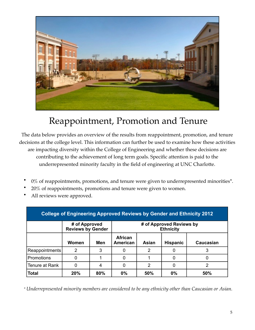

#### Reappointment, Promotion and Tenure

The data below provides an overview of the results from reappointment, promotion, and tenure decisions at the college level. This information can further be used to examine how these activities are impacting diversity within the College of Engineering and whether these decisions are contributing to the achievement of long term goals. Specific attention is paid to the underrepresented minority faculty in the field of engineering at UNC Charlotte.

- $0\%$  of reappointments, promotions, and tenure were given to underrepresented minorities\*.
- 20% of reappointments, promotions and tenure were given to women.
- All reviews were approved.

| <b>College of Engineering Approved Reviews by Gender and Ethnicity 2012</b> |                                           |     |                                              |               |                 |                  |
|-----------------------------------------------------------------------------|-------------------------------------------|-----|----------------------------------------------|---------------|-----------------|------------------|
|                                                                             | # of Approved<br><b>Reviews by Gender</b> |     | # of Approved Reviews by<br><b>Ethnicity</b> |               |                 |                  |
|                                                                             | Women                                     | Men | <b>African</b><br><b>American</b>            | Asian         | <b>Hispanic</b> | <b>Caucasian</b> |
| Reappointments                                                              | 2                                         | 3   | 0                                            | 2             |                 |                  |
| Promotions                                                                  | 0                                         |     | 0                                            |               | 0               |                  |
| l Tenure at Rank                                                            | 0                                         | 4   | 0                                            | $\mathcal{P}$ | 0               | 2                |
| <b>Total</b>                                                                | 20%                                       | 80% | 0%                                           | 50%           | 0%              | 50%              |

*\* Underrepresented minority members are considered to be any ethnicity other than Caucasian or Asian.*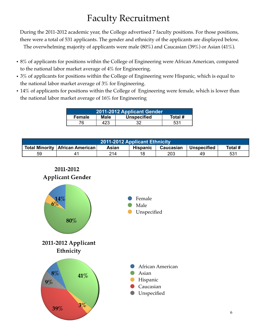### Faculty Recruitment

During the 2011-2012 academic year, the College advertised 7 faculty positions. For those positions, there were a total of 531 applicants. The gender and ethnicity of the applicants are displayed below. The overwhelming majority of applicants were male (80%) and Caucasian (39%) or Asian (41%).

- 8% of applicants for positions within the College of Engineering were African American, compared to the national labor market average of 4% for Engineering.
- 3% of applicants for positions within the College of Engineering were Hispanic, which is equal to the national labor market average of 3% for Engineering.
- 14% of applicants for positions within the College of Engineering were female, which is lower than the national labor market average of 16% for Engineering

| 2011-2012 Applicant Gender |                                              |  |     |  |  |  |
|----------------------------|----------------------------------------------|--|-----|--|--|--|
| Female                     | <b>Unspecified</b><br><b>Male</b><br>Total # |  |     |  |  |  |
| 76                         | 423                                          |  | 531 |  |  |  |

| <b>2011-2012 Applicant Ethnicity</b> |                                                                                                                      |     |    |     |     |                 |  |
|--------------------------------------|----------------------------------------------------------------------------------------------------------------------|-----|----|-----|-----|-----------------|--|
|                                      | <b>Total Minority   African American  </b><br><b>Hispanic</b><br>Total #<br>Caucasian<br><b>Unspecified</b><br>Asian |     |    |     |     |                 |  |
| 59                                   |                                                                                                                      | 214 | 18 | 203 | 49. | 53 <sup>1</sup> |  |

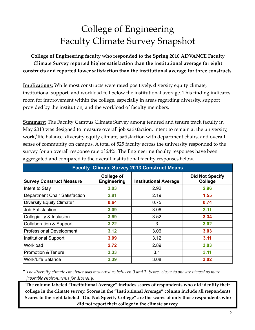## College of Engineering Faculty Climate Survey Snapshot

**College of Engineering faculty who responded to the Spring 2010 ADVANCE Faculty Climate Survey reported higher satisfaction than the institutional average for eight constructs and reported lower satisfaction than the institutional average for three constructs.**

**Implications:** While most constructs were rated positively, diversity equity climate, institutional support, and workload fell below the institutional average. This finding indicates room for improvement within the college, especially in areas regarding diversity, support provided by the institution, and the workload of faculty members.

**Summary:** The Faculty Campus Climate Survey among tenured and tenure track faculty in May 2013 was designed to measure overall job satisfaction, intent to remain at the university, work/life balance, diversity equity climate, satisfaction with department chairs, and overall sense of community on campus. A total of 525 faculty across the university responded to the survey for an overall response rate of 24%. The Engineering faculty responses have been aggregated and compared to the overall institutional faculty responses below.

| <b>Faculty Climate Survey 2013 Construct Means</b> |                                  |                              |                                   |  |  |  |
|----------------------------------------------------|----------------------------------|------------------------------|-----------------------------------|--|--|--|
| <b>Survey Construct Measure</b>                    | College of<br><b>Engineering</b> | <b>Institutional Average</b> | <b>Did Not Specify</b><br>College |  |  |  |
| Intent to Stay                                     | 3.03                             | 2.92                         | 2.96                              |  |  |  |
| <b>Department Chair Satisfaction</b>               | 2.81                             | 2.19                         | 1.55                              |  |  |  |
| Diversity Equity Climate*                          | 0.64                             | 0.75                         | 0.74                              |  |  |  |
| <b>Job Satisfaction</b>                            | 3.09                             | 3.06                         | 3.11                              |  |  |  |
| Collegiality & Inclusion                           | 3.59                             | 3.52                         | 3.34                              |  |  |  |
| <b>Collaboration &amp; Support</b>                 | 3.22                             | 3                            | 3.02                              |  |  |  |
| <b>Professional Development</b>                    | 3.12                             | 3.06                         | 3.03                              |  |  |  |
| <b>Institutional Support</b>                       | 3.09                             | 3.12                         | 3.11                              |  |  |  |
| Workload                                           | 2.72                             | 2.89                         | 3.03                              |  |  |  |
| <b>Promotion &amp; Tenure</b>                      | 3.33                             | 3.1                          | 3.11                              |  |  |  |
| <b>Work/Life Balance</b>                           | 3.39                             | 3.08                         | 3.02                              |  |  |  |

\* *The diversity climate construct was measured as between 0 and 1. Scores closer to one are viewed as more favorable environments for diversity*.

**The column labeled "Institutional Average" includes scores of respondents who did identify their college in the climate survey. Scores in the "Institutional Average" column include all respondents Scores to the right labeled "Did Not Specify College" are the scores of only those respondents who did not report their college in the climate survey.**